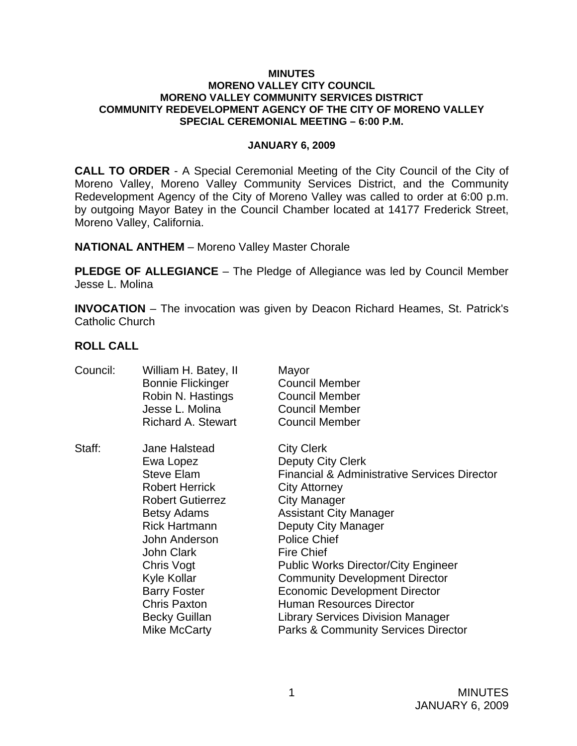#### **MINUTES MORENO VALLEY CITY COUNCIL MORENO VALLEY COMMUNITY SERVICES DISTRICT COMMUNITY REDEVELOPMENT AGENCY OF THE CITY OF MORENO VALLEY SPECIAL CEREMONIAL MEETING – 6:00 P.M.**

### **JANUARY 6, 2009**

**CALL TO ORDER** - A Special Ceremonial Meeting of the City Council of the City of Moreno Valley, Moreno Valley Community Services District, and the Community Redevelopment Agency of the City of Moreno Valley was called to order at 6:00 p.m. by outgoing Mayor Batey in the Council Chamber located at 14177 Frederick Street, Moreno Valley, California.

**NATIONAL ANTHEM** – Moreno Valley Master Chorale

**PLEDGE OF ALLEGIANCE** – The Pledge of Allegiance was led by Council Member Jesse L. Molina

**INVOCATION** – The invocation was given by Deacon Richard Heames, St. Patrick's Catholic Church

### **ROLL CALL**

| Council: | William H. Batey, II<br><b>Bonnie Flickinger</b><br>Robin N. Hastings<br>Jesse L. Molina<br><b>Richard A. Stewart</b>                                                                                                                                                                                      | Mayor<br><b>Council Member</b><br><b>Council Member</b><br><b>Council Member</b><br><b>Council Member</b>                                                                                                                                                                                                                                                                                                                                                                                                            |
|----------|------------------------------------------------------------------------------------------------------------------------------------------------------------------------------------------------------------------------------------------------------------------------------------------------------------|----------------------------------------------------------------------------------------------------------------------------------------------------------------------------------------------------------------------------------------------------------------------------------------------------------------------------------------------------------------------------------------------------------------------------------------------------------------------------------------------------------------------|
| Staff:   | Jane Halstead<br>Ewa Lopez<br><b>Steve Elam</b><br><b>Robert Herrick</b><br><b>Robert Gutierrez</b><br><b>Betsy Adams</b><br><b>Rick Hartmann</b><br>John Anderson<br><b>John Clark</b><br>Chris Vogt<br>Kyle Kollar<br><b>Barry Foster</b><br><b>Chris Paxton</b><br><b>Becky Guillan</b><br>Mike McCarty | <b>City Clerk</b><br><b>Deputy City Clerk</b><br><b>Financial &amp; Administrative Services Director</b><br><b>City Attorney</b><br>City Manager<br><b>Assistant City Manager</b><br>Deputy City Manager<br><b>Police Chief</b><br><b>Fire Chief</b><br><b>Public Works Director/City Engineer</b><br><b>Community Development Director</b><br><b>Economic Development Director</b><br><b>Human Resources Director</b><br><b>Library Services Division Manager</b><br><b>Parks &amp; Community Services Director</b> |